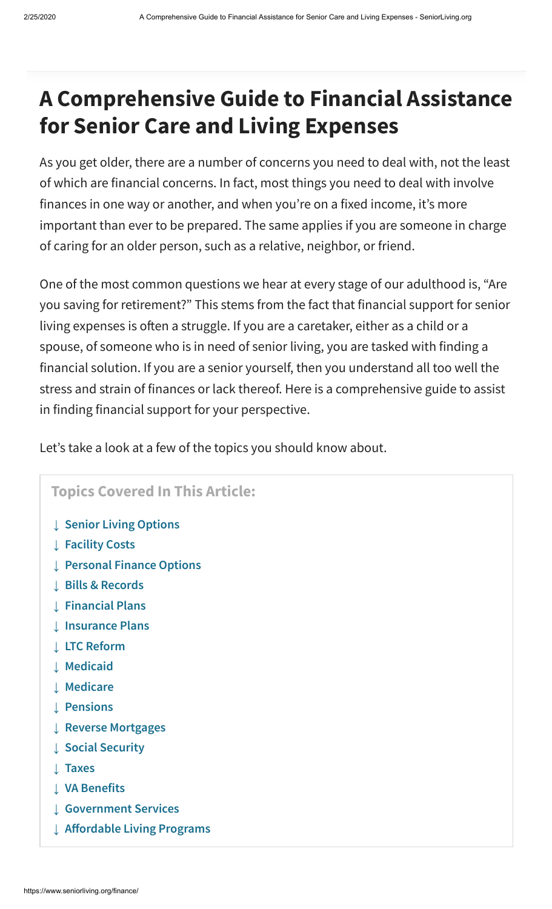# **A Comprehensive Guide to Financial Assistance for Senior Care and Living Expenses**

As you get older, there are a number of concerns you need to deal with, not the least of which are financial concerns. In fact, most things you need to deal with involve finances in one way or another, and when you're on a fixed income, it's more important than ever to be prepared. The same applies if you are someone in charge of caring for an older person, such as a relative, neighbor, or friend.

One of the most common questions we hear at every stage of our adulthood is, "Are you saving for retirement?" This stems from the fact that financial support for senior living expenses is often a struggle. If you are a caretaker, either as a child or a spouse, of someone who is in need of senior living, you are tasked with finding a financial solution. If you are a senior yourself, then you understand all too well the stress and strain of finances or lack thereof. Here is a comprehensive guide to assist in finding financial support for your perspective.

Let's take a look at a few of the topics you should know about.

#### **Topics Covered In This Article:**

- **↓ [Senior Living Options](#page-0-0)**
- **↓ [Facility Costs](#page-2-0)**
- **↓ [Personal Finance Options](#page-3-0)**
- **↓ [Bills & Records](#page-4-0)**
- **↓ [Financial Plans](#page-5-0)**
- **↓ [Insurance Plans](#page-6-0)**
- **↓ [LTC Reform](#page-7-0)**
- **↓ [Medicaid](#page-8-0)**
- **↓ [Medicare](#page-8-1)**
- **↓ [Pensions](#page-9-0)**
- **↓ [Reverse Mortgages](#page-9-1)**
- **↓ [Social Security](#page-10-0)**
- **↓ [Taxes](#page-10-1)**
- **↓ [VA Benefits](#page-11-0)**
- **↓ [Government Services](#page-11-1)**
- <span id="page-0-0"></span>**↓ [Aordable Living Programs](#page-12-0)**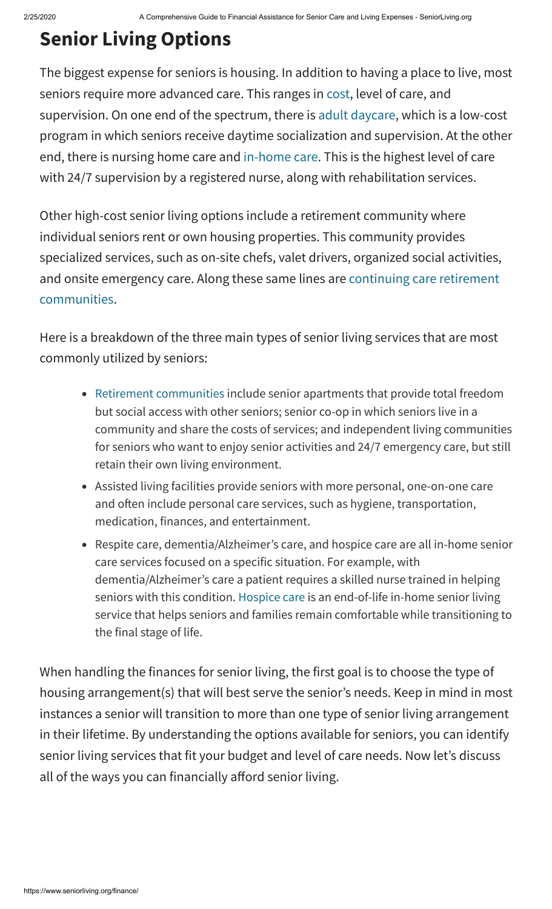# **Senior Living Options**

The biggest expense for seniors is housing. In addition to having a place to live, most seniors require more advanced care. This ranges in [cost,](https://www.seniorliving.org/assisted-living/costs/) level of care, and supervision. On one end of the spectrum, there is [adult daycare](https://www.seniorliving.org/adult-day-care/), which is a low-cost program in which seniors receive daytime socialization and supervision. At the other end, there is nursing home care and [in-home care](https://www.seniorliving.org/home-care/). This is the highest level of care with 24/7 supervision by a registered nurse, along with rehabilitation services.

Other high-cost senior living options include a retirement community where individual seniors rent or own housing properties. This community provides specialized services, such as on-site chefs, valet drivers, organized social activities, [and onsite emergency care. Along these same lines are continuing care retirement](https://www.seniorliving.org/continuing-care-retirement-communities/) communities.

Here is a breakdown of the three main types of senior living services that are most commonly utilized by seniors:

- [Retirement communities](https://www.seniorliving.org/retirement/communities/) include senior apartments that provide total freedom but social access with other seniors; senior co-op in which seniors live in a community and share the costs of services; and independent living communities for seniors who want to enjoy senior activities and 24/7 emergency care, but still retain their own living environment.
- Assisted living facilities provide seniors with more personal, one-on-one care and often include personal care services, such as hygiene, transportation, medication, finances, and entertainment.
- Respite care, dementia/Alzheimer's care, and hospice care are all in-home senior care services focused on a specific situation. For example, with dementia/Alzheimer's care a patient requires a skilled nurse trained in helping seniors with this condition. [Hospice care](https://www.seniorliving.org/hospice/) is an end-of-life in-home senior living service that helps seniors and families remain comfortable while transitioning to the final stage of life.

When handling the finances for senior living, the first goal is to choose the type of housing arrangement(s) that will best serve the senior's needs. Keep in mind in most instances a senior will transition to more than one type of senior living arrangement in their lifetime. By understanding the options available for seniors, you can identify senior living services that fit your budget and level of care needs. Now let's discuss all of the ways you can financially afford senior living.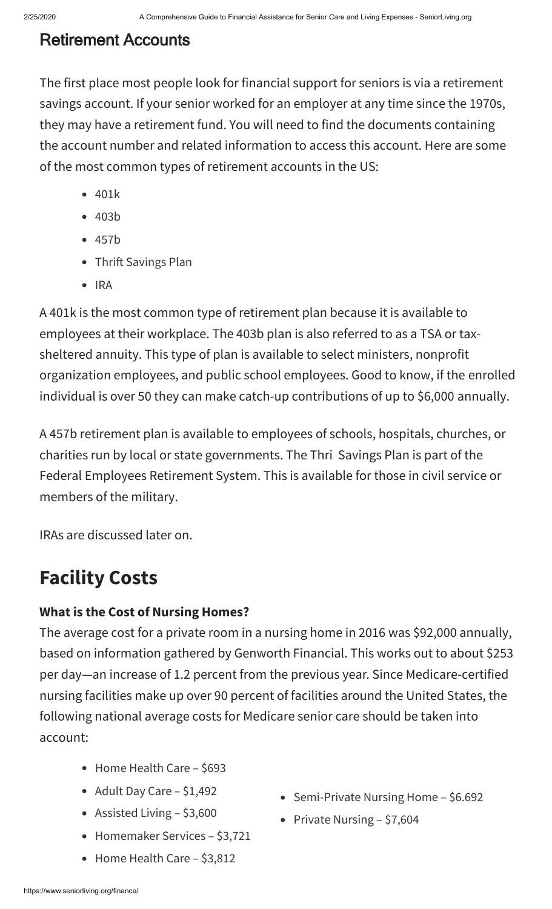## Retirement Accounts

The first place most people look for financial support for seniors is via a retirement savings account. If your senior worked for an employer at any time since the 1970s, they may have a retirement fund. You will need to find the documents containing the account number and related information to access this account. Here are some of the most common types of retirement accounts in the US:

- 401k
- 403b
- 457b
- Thrift Savings Plan
- $\bullet$  IRA

A 401k is the most common type of retirement plan because it is available to employees at their workplace. The 403b plan is also referred to as a TSA or taxsheltered annuity. This type of plan is available to select ministers, nonprofit organization employees, and public school employees. Good to know, if the enrolled individual is over 50 they can make catch-up contributions of up to \$6,000 annually.

A 457b retirement plan is available to employees of schools, hospitals, churches, or charities run by local or state governments. The Thri Savings Plan is part of the Federal Employees Retirement System. This is available for those in civil service or members of the military.

<span id="page-2-0"></span>IRAs are discussed later on.

# **Facility Costs**

## **What is the Cost of Nursing Homes?**

The average cost for a private room in a nursing home in 2016 was \$92,000 annually, based on information gathered by Genworth Financial. This works out to about \$253 per day—an increase of 1.2 percent from the previous year. Since Medicare-certified nursing facilities make up over 90 percent of facilities around the United States, the following national average costs for Medicare senior care should be taken into account:

- Home Health Care \$693
- Adult Day Care \$1,492
- Assisted Living \$3,600
- Homemaker Services \$3,721
- Home Health Care \$3,812
- Semi-Private Nursing Home \$6.692
- Private Nursing  $-$  \$7,604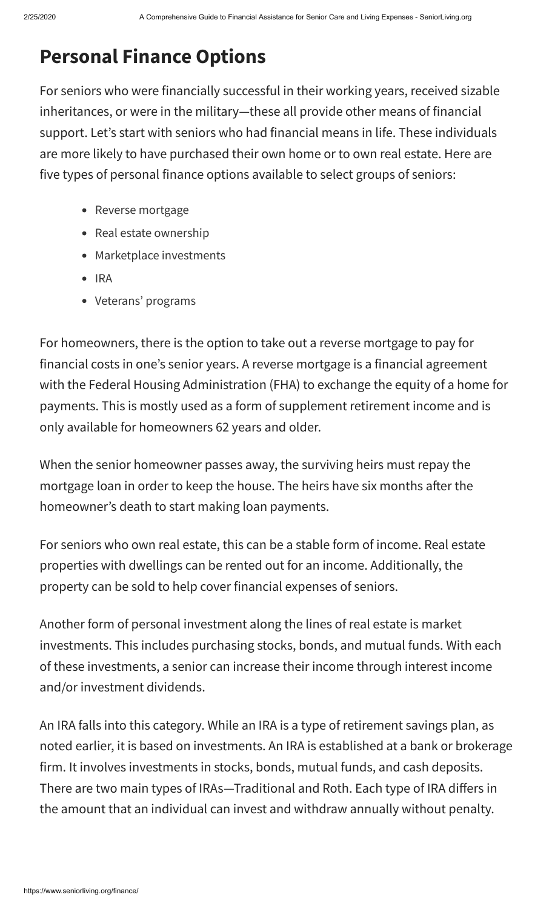# **Personal Finance Options**

<span id="page-3-0"></span>For seniors who were financially successful in their working years, received sizable inheritances, or were in the military—these all provide other means of financial support. Let's start with seniors who had financial means in life. These individuals are more likely to have purchased their own home or to own real estate. Here are five types of personal finance options available to select groups of seniors:

- Reverse mortgage
- Real estate ownership
- Marketplace investments
- $\bullet$  IRA
- Veterans' programs

For homeowners, there is the option to take out a reverse mortgage to pay for financial costs in one's senior years. A reverse mortgage is a financial agreement with the Federal Housing Administration (FHA) to exchange the equity of a home for payments. This is mostly used as a form of supplement retirement income and is only available for homeowners 62 years and older.

When the senior homeowner passes away, the surviving heirs must repay the mortgage loan in order to keep the house. The heirs have six months after the homeowner's death to start making loan payments.

For seniors who own real estate, this can be a stable form of income. Real estate properties with dwellings can be rented out for an income. Additionally, the property can be sold to help cover financial expenses of seniors.

Another form of personal investment along the lines of real estate is market investments. This includes purchasing stocks, bonds, and mutual funds. With each of these investments, a senior can increase their income through interest income and/or investment dividends.

An IRA falls into this category. While an IRA is a type of retirement savings plan, as noted earlier, it is based on investments. An IRA is established at a bank or brokerage firm. It involves investments in stocks, bonds, mutual funds, and cash deposits. There are two main types of IRAs-Traditional and Roth. Each type of IRA differs in the amount that an individual can invest and withdraw annually without penalty.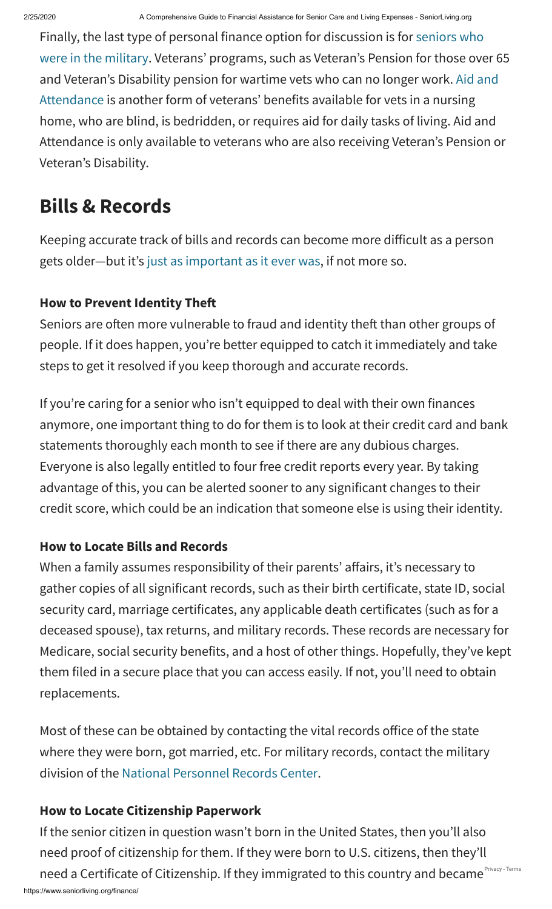<span id="page-4-0"></span>Finally, the last type of personal finance option for discussion is for seniors who [were in the military. Veterans' programs, such as Veteran's Pension for those ove](https://www.seniorliving.org/veteran-housing/)r 65 [and Veteran's Disability pension for wartime vets who can no longer work. Aid and](https://www.seniorliving.org/finance/aid-and-attendance/) Attendance is another form of veterans' benefits available for vets in a nursing home, who are blind, is bedridden, or requires aid for daily tasks of living. Aid and Attendance is only available to veterans who are also receiving Veteran's Pension or Veteran's Disability.

# **Bills & Records**

Keeping accurate track of bills and records can become more difficult as a person gets older—but it's [just as important as it ever was](https://www.seniorliving.org/finance/bills-records/), if not more so.

## **How to Prevent Identity The**

Seniors are often more vulnerable to fraud and identity theft than other groups of people. If it does happen, you're better equipped to catch it immediately and take steps to get it resolved if you keep thorough and accurate records.

If you're caring for a senior who isn't equipped to deal with their own finances anymore, one important thing to do for them is to look at their credit card and bank statements thoroughly each month to see if there are any dubious charges. Everyone is also legally entitled to four free credit reports every year. By taking advantage of this, you can be alerted sooner to any significant changes to their credit score, which could be an indication that someone else is using their identity.

## **How to Locate Bills and Records**

When a family assumes responsibility of their parents' affairs, it's necessary to gather copies of all significant records, such as their birth certificate, state ID, social security card, marriage certificates, any applicable death certificates (such as for a deceased spouse), tax returns, and military records. These records are necessary for Medicare, social security benefits, and a host of other things. Hopefully, they've kept them filed in a secure place that you can access easily. If not, you'll need to obtain replacements.

Most of these can be obtained by contacting the vital records office of the state where they were born, got married, etc. For military records, contact the military division of the [National Personnel Records Center](https://www.archives.gov/st-louis/military-personnel/about-ompfs.html).

## **How to Locate Citizenship Paperwork**

https://www.seniorliving.org/finance/ If the senior citizen in question wasn't born in the United States, then you'll also need proof of citizenship for them. If they were born to U.S. citizens, then they'll need a Certificate of Citizenship. If they immigrated to this country and became Privacy-[Terms](https://www.google.com/intl/en/policies/terms/)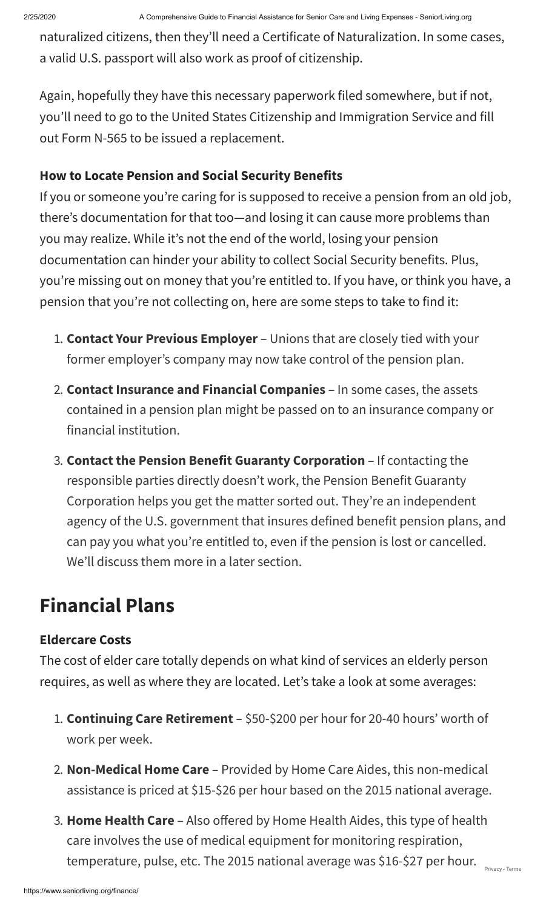naturalized citizens, then they'll need a Certificate of Naturalization. In some cases, a valid U.S. passport will also work as proof of citizenship.

Again, hopefully they have this necessary paperwork filed somewhere, but if not, you'll need to go to the United States Citizenship and Immigration Service and fill out Form N-565 to be issued a replacement.

### **How to Locate Pension and Social Security Benefits**

If you or someone you're caring for is supposed to receive a pension from an old job, there's documentation for that too—and losing it can cause more problems than you may realize. While it's not the end of the world, losing your pension documentation can hinder your ability to collect Social Security benefits. Plus, you're missing out on money that you're entitled to. If you have, or think you have, a pension that you're not collecting on, here are some steps to take to find it:

- 1. **Contact Your Previous Employer** Unions that are closely tied with your former employer's company may now take control of the pension plan.
- 2. **Contact Insurance and Financial Companies**  In some cases, the assets contained in a pension plan might be passed on to an insurance company or financial institution.
- 3. **Contact the Pension Benefit Guaranty Corporation** If contacting the responsible parties directly doesn't work, the Pension Benefit Guaranty Corporation helps you get the matter sorted out. They're an independent agency of the U.S. government that insures defined benefit pension plans, and can pay you what you're entitled to, even if the pension is lost or cancelled. We'll discuss them more in a later section.

# <span id="page-5-0"></span>**Financial Plans**

#### **Eldercare Costs**

The cost of elder care totally depends on what kind of services an elderly person requires, as well as where they are located. Let's take a look at some averages:

- 1. **Continuing Care Retirement** \$50-\$200 per hour for 20-40 hours' worth of work per week.
- 2. **Non-Medical Home Care** Provided by Home Care Aides, this non-medical assistance is priced at \$15-\$26 per hour based on the 2015 national average.
- 3. **Home Health Care** Also offered by Home Health Aides, this type of health care involves the use of medical equipment for monitoring respiration, temperature, pulse, etc. The 2015 national average was \$16-\$27 per hour.  $\rangle_{\tiny\rm{Privacy-Terms}}$  $\rangle_{\tiny\rm{Privacy-Terms}}$  $\rangle_{\tiny\rm{Privacy-Terms}}$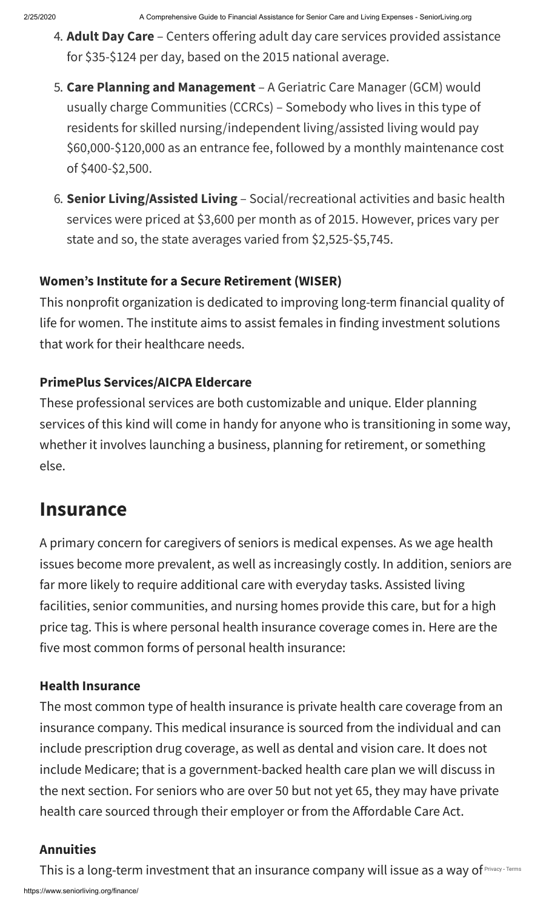- 4. **Adult Day Care** Centers offering adult day care services provided assistance for \$35-\$124 per day, based on the 2015 national average.
- 5. **Care Planning and Management** A Geriatric Care Manager (GCM) would usually charge Communities (CCRCs) – Somebody who lives in this type of residents for skilled nursing/independent living/assisted living would pay \$60,000-\$120,000 as an entrance fee, followed by a monthly maintenance cost of \$400-\$2,500.
- 6. **Senior Living/Assisted Living** Social/recreational activities and basic health services were priced at \$3,600 per month as of 2015. However, prices vary per state and so, the state averages varied from \$2,525-\$5,745.

### **Women's Institute for a Secure Retirement (WISER)**

This nonprofit organization is dedicated to improving long-term financial quality of life for women. The institute aims to assist females in finding investment solutions that work for their healthcare needs.

### <span id="page-6-0"></span>**PrimePlus Services/AICPA Eldercare**

These professional services are both customizable and unique. Elder planning services of this kind will come in handy for anyone who is transitioning in some way, whether it involves launching a business, planning for retirement, or something else.

# **Insurance**

A primary concern for caregivers of seniors is medical expenses. As we age health issues become more prevalent, as well as increasingly costly. In addition, seniors are far more likely to require additional care with everyday tasks. Assisted living facilities, senior communities, and nursing homes provide this care, but for a high price tag. This is where personal health insurance coverage comes in. Here are the five most common forms of personal health insurance:

#### **Health Insurance**

The most common type of health insurance is private health care coverage from an insurance company. This medical insurance is sourced from the individual and can include prescription drug coverage, as well as dental and vision care. It does not include Medicare; that is a government-backed health care plan we will discuss in the next section. For seniors who are over 50 but not yet 65, they may have private health care sourced through their employer or from the Affordable Care Act.

#### **Annuities**

https://www.seniorliving.org/finance/ This is a long-term investment that an insurance company will issue as a way of [Privacy](https://www.google.com/intl/en/policies/privacy/) - [Terms](https://www.google.com/intl/en/policies/terms/)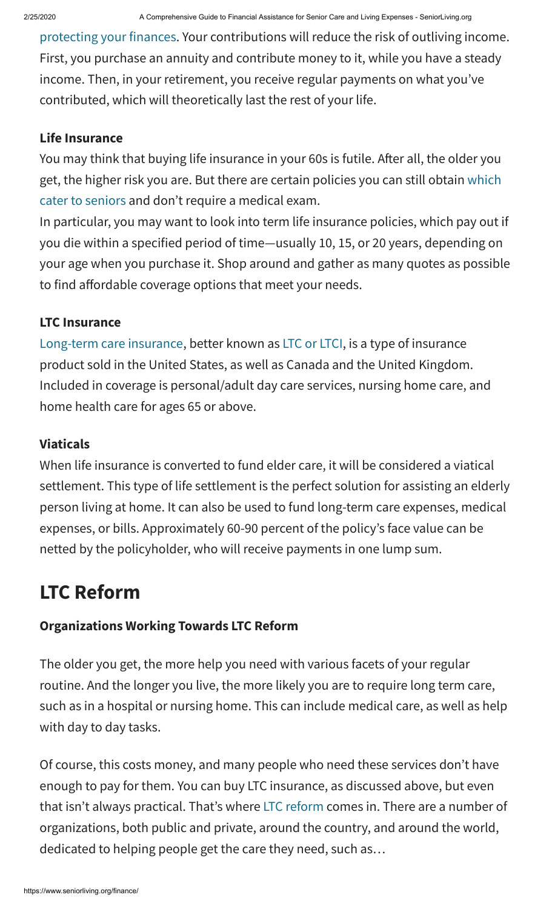[protecting your finances](https://www.seniorliving.org/annuities/). Your contributions will reduce the risk of outliving income. First, you purchase an annuity and contribute money to it, while you have a steady income. Then, in your retirement, you receive regular payments on what you've contributed, which will theoretically last the rest of your life.

#### **Life Insurance**

You may think that buying life insurance in your 60s is futile. After all, the older you [get, the higher risk you are. But there are certain policies you can still obtain which](https://www.seniorliving.org/insurance/life/) cater to seniors and don't require a medical exam.

In particular, you may want to look into term life insurance policies, which pay out if you die within a specified period of time—usually 10, 15, or 20 years, depending on your age when you purchase it. Shop around and gather as many quotes as possible to find affordable coverage options that meet your needs.

### **LTC Insurance**

[Long-term care insurance](https://www.seniorliving.org/insurance/long-term-care/), better known as [LTC or LTCI](https://www.seniorliving.org/insurance/long-term-care/best/), is a type of insurance product sold in the United States, as well as Canada and the United Kingdom. Included in coverage is personal/adult day care services, nursing home care, and home health care for ages 65 or above.

### <span id="page-7-0"></span>**Viaticals**

When life insurance is converted to fund elder care, it will be considered a viatical settlement. This type of life settlement is the perfect solution for assisting an elderly person living at home. It can also be used to fund long-term care expenses, medical expenses, or bills. Approximately 60-90 percent of the policy's face value can be netted by the policyholder, who will receive payments in one lump sum.

# **LTC Reform**

## **Organizations Working Towards LTC Reform**

The older you get, the more help you need with various facets of your regular routine. And the longer you live, the more likely you are to require long term care, such as in a hospital or nursing home. This can include medical care, as well as help with day to day tasks.

Of course, this costs money, and many people who need these services don't have enough to pay for them. You can buy LTC insurance, as discussed above, but even that isn't always practical. That's where [LTC reform](https://www.seniorliving.org/finance/ltc-reform/) comes in. There are a number of organizations, both public and private, around the country, and around the world, dedicated to helping people get the care they need, such as…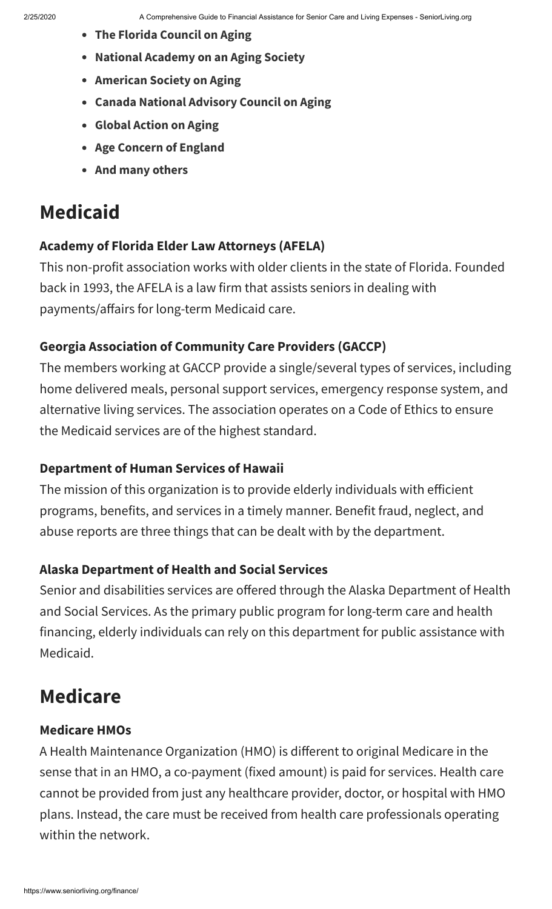- **The Florida Council on Aging**
- **National Academy on an Aging Society**
- **American Society on Aging**
- **Canada National Advisory Council on Aging**
- **Global Action on Aging**
- **Age Concern of England**
- **And many others**

# <span id="page-8-0"></span>**Medicaid**

#### **Academy of Florida Elder Law Attorneys (AFELA)**

This non-profit association works with older clients in the state of Florida. Founded back in 1993, the AFELA is a law firm that assists seniors in dealing with payments/affairs for long-term Medicaid care.

#### **Georgia Association of Community Care Providers (GACCP)**

The members working at GACCP provide a single/several types of services, including home delivered meals, personal support services, emergency response system, and alternative living services. The association operates on a Code of Ethics to ensure the Medicaid services are of the highest standard.

#### **Department of Human Services of Hawaii**

The mission of this organization is to provide elderly individuals with efficient programs, benefits, and services in a timely manner. Benefit fraud, neglect, and abuse reports are three things that can be dealt with by the department.

#### <span id="page-8-1"></span>**Alaska Department of Health and Social Services**

Senior and disabilities services are offered through the Alaska Department of Health and Social Services. As the primary public program for long-term care and health financing, elderly individuals can rely on this department for public assistance with Medicaid.

# **Medicare**

#### **Medicare HMOs**

A Health Maintenance Organization (HMO) is different to original Medicare in the sense that in an HMO, a co-payment (fixed amount) is paid for services. Health care cannot be provided from just any healthcare provider, doctor, or hospital with HMO plans. Instead, the care must be received from health care professionals operating within the network.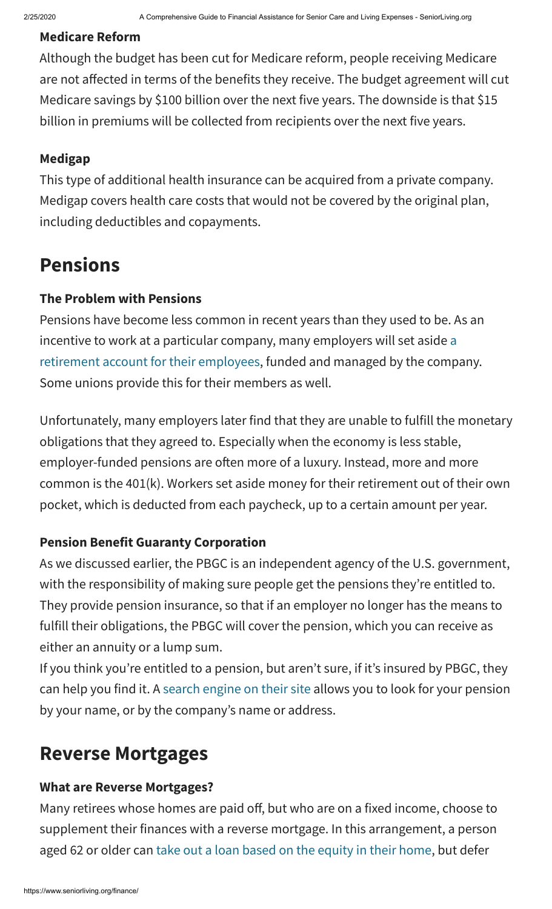#### **Medicare Reform**

Although the budget has been cut for Medicare reform, people receiving Medicare are not affected in terms of the benefits they receive. The budget agreement will cut Medicare savings by \$100 billion over the next five years. The downside is that \$15 billion in premiums will be collected from recipients over the next five years.

## <span id="page-9-0"></span>**Medigap**

This type of additional health insurance can be acquired from a private company. Medigap covers health care costs that would not be covered by the original plan, including deductibles and copayments.

# **Pensions**

## **The Problem with Pensions**

Pensions have become less common in recent years than they used to be. As an incentive to work at a particular company, many employers will set aside a [retirement account for their employees, funded and managed by the comp](https://www.seniorliving.org/finance/pension/)any. Some unions provide this for their members as well.

Unfortunately, many employers later find that they are unable to fulfill the monetary obligations that they agreed to. Especially when the economy is less stable, employer-funded pensions are often more of a luxury. Instead, more and more common is the 401(k). Workers set aside money for their retirement out of their own pocket, which is deducted from each paycheck, up to a certain amount per year.

## <span id="page-9-1"></span>**Pension Benefit Guaranty Corporation**

As we discussed earlier, the PBGC is an independent agency of the U.S. government, with the responsibility of making sure people get the pensions they're entitled to. They provide pension insurance, so that if an employer no longer has the means to fulfill their obligations, the PBGC will cover the pension, which you can receive as either an annuity or a lump sum.

If you think you're entitled to a pension, but aren't sure, if it's insured by PBGC, they can help you find it. A [search engine on their site](https://www.pbgc.gov/search/unclaimed-pensions) allows you to look for your pension by your name, or by the company's name or address.

# **Reverse Mortgages**

## **What are Reverse Mortgages?**

Many retirees whose homes are paid off, but who are on a fixed income, choose to supplement their finances with a reverse mortgage. In this arrangement, a person aged 62 or older can [take out a loan based on the equity in their home,](https://www.seniorliving.org/mortgage/reverse/) but defer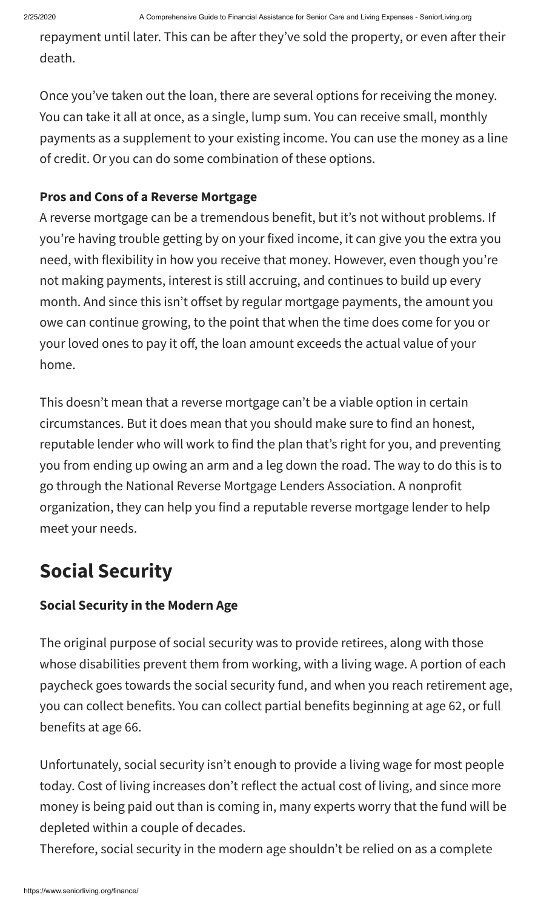repayment until later. This can be after they've sold the property, or even after their death.

Once you've taken out the loan, there are several options for receiving the money. You can take it all at once, as a single, lump sum. You can receive small, monthly payments as a supplement to your existing income. You can use the money as a line of credit. Or you can do some combination of these options.

## **Pros and Cons of a Reverse Mortgage**

A reverse mortgage can be a tremendous benefit, but it's not without problems. If you're having trouble getting by on your fixed income, it can give you the extra you need, with flexibility in how you receive that money. However, even though you're not making payments, interest is still accruing, and continues to build up every month. And since this isn't offset by regular mortgage payments, the amount you owe can continue growing, to the point that when the time does come for you or your loved ones to pay it off, the loan amount exceeds the actual value of your home.

<span id="page-10-0"></span>This doesn't mean that a reverse mortgage can't be a viable option in certain circumstances. But it does mean that you should make sure to find an honest, reputable lender who will work to find the plan that's right for you, and preventing you from ending up owing an arm and a leg down the road. The way to do this is to go through the National Reverse Mortgage Lenders Association. A nonprofit organization, they can help you find a reputable reverse mortgage lender to help meet your needs.

# **Social Security**

## **Social Security in the Modern Age**

The original purpose of social security was to provide retirees, along with those whose disabilities prevent them from working, with a living wage. A portion of each paycheck goes towards the social security fund, and when you reach retirement age, you can collect benefits. You can collect partial benefits beginning at age 62, or full benefits at age 66.

<span id="page-10-1"></span>Unfortunately, social security isn't enough to provide a living wage for most people today. Cost of living increases don't reflect the actual cost of living, and since more money is being paid out than is coming in, many experts worry that the fund will be depleted within a couple of decades.

Therefore, social security in the modern age shouldn't be relied on as a complete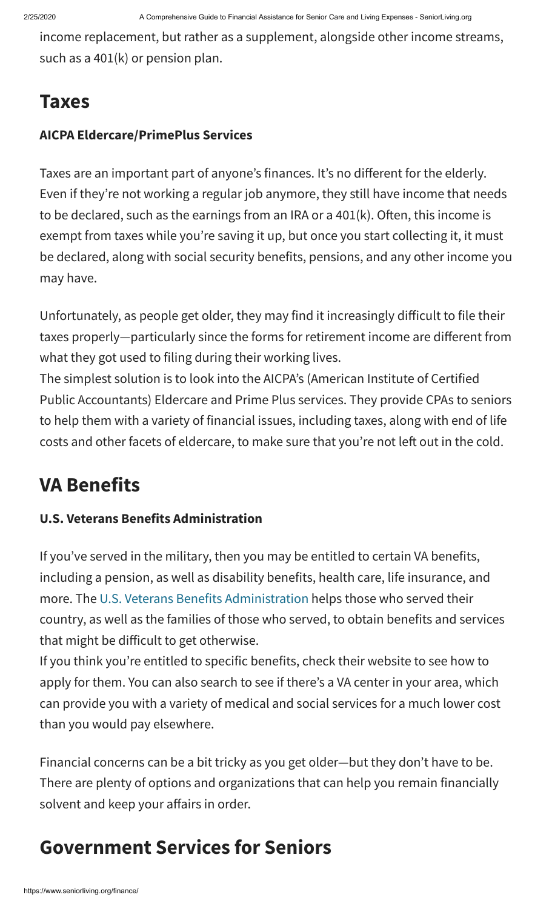income replacement, but rather as a supplement, alongside other income streams, such as a 401(k) or pension plan.

# **Taxes**

### **AICPA Eldercare/PrimePlus Services**

Taxes are an important part of anyone's finances. It's no different for the elderly. Even if they're not working a regular job anymore, they still have income that needs to be declared, such as the earnings from an IRA or a  $401(k)$ . Often, this income is exempt from taxes while you're saving it up, but once you start collecting it, it must be declared, along with social security benefits, pensions, and any other income you may have.

<span id="page-11-0"></span>Unfortunately, as people get older, they may find it increasingly difficult to file their taxes properly—particularly since the forms for retirement income are different from what they got used to filing during their working lives.

The simplest solution is to look into the AICPA's (American Institute of Certified Public Accountants) Eldercare and Prime Plus services. They provide CPAs to seniors to help them with a variety of financial issues, including taxes, along with end of life costs and other facets of eldercare, to make sure that you're not left out in the cold.

# **VA Benefits**

## **U.S. Veterans Benefits Administration**

If you've served in the military, then you may be entitled to certain VA benefits, including a pension, as well as disability benefits, health care, life insurance, and more. The [U.S. Veterans Benefits Administration](https://www.va.gov/) helps those who served their country, as well as the families of those who served, to obtain benefits and services that might be difficult to get otherwise.

If you think you're entitled to specific benefits, check their website to see how to apply for them. You can also search to see if there's a VA center in your area, which can provide you with a variety of medical and social services for a much lower cost than you would pay elsewhere.

<span id="page-11-1"></span>Financial concerns can be a bit tricky as you get older—but they don't have to be. There are plenty of options and organizations that can help you remain financially solvent and keep your affairs in order.

# **Government Services for Seniors**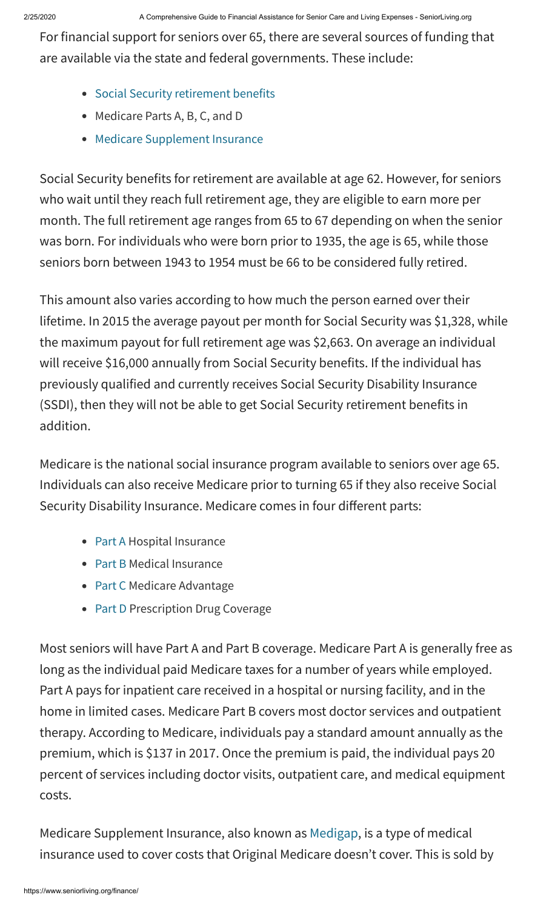For financial support for seniors over 65, there are several sources of funding that are available via the state and federal governments. These include:

- [Social Security retirement benefits](https://www.seniorliving.org/finance/social-security/)
- Medicare Parts A, B, C, and D
- [Medicare Supplement Insurance](https://www.seniorliving.org/insurance/medigap/)

Social Security benefits for retirement are available at age 62. However, for seniors who wait until they reach full retirement age, they are eligible to earn more per month. The full retirement age ranges from 65 to 67 depending on when the senior was born. For individuals who were born prior to 1935, the age is 65, while those seniors born between 1943 to 1954 must be 66 to be considered fully retired.

This amount also varies according to how much the person earned over their lifetime. In 2015 the average payout per month for Social Security was \$1,328, while the maximum payout for full retirement age was \$2,663. On average an individual will receive \$16,000 annually from Social Security benefits. If the individual has previously qualified and currently receives Social Security Disability Insurance (SSDI), then they will not be able to get Social Security retirement benefits in addition.

Medicare is the national social insurance program available to seniors over age 65. Individuals can also receive Medicare prior to turning 65 if they also receive Social Security Disability Insurance. Medicare comes in four different parts:

- [Part A](https://www.seniorliving.org/medicare-medicaid/part-a/) Hospital Insurance
- [Part B](https://www.seniorliving.org/medicare-medicaid/part-b/) Medical Insurance
- [Part C](https://www.seniorliving.org/medicare-medicaid/part-c/) Medicare Advantage
- [Part D](https://www.seniorliving.org/medicare-medicaid/part-d/) Prescription Drug Coverage

Most seniors will have Part A and Part B coverage. Medicare Part A is generally free as long as the individual paid Medicare taxes for a number of years while employed. Part A pays for inpatient care received in a hospital or nursing facility, and in the home in limited cases. Medicare Part B covers most doctor services and outpatient therapy. According to Medicare, individuals pay a standard amount annually as the premium, which is \$137 in 2017. Once the premium is paid, the individual pays 20 percent of services including doctor visits, outpatient care, and medical equipment costs.

<span id="page-12-0"></span>Medicare Supplement Insurance, also known as [Medigap](https://www.medicare.gov/find-a-plan/questions/medigap-home.aspx?AspxAutoDetectCookieSupport=1), is a type of medical insurance used to cover costs that Original Medicare doesn't cover. This is sold by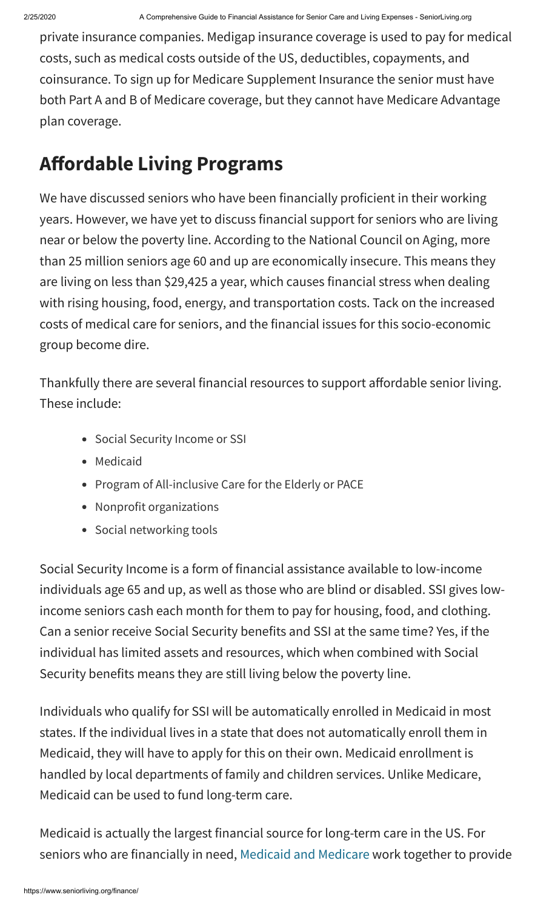private insurance companies. Medigap insurance coverage is used to pay for medical costs, such as medical costs outside of the US, deductibles, copayments, and coinsurance. To sign up for Medicare Supplement Insurance the senior must have both Part A and B of Medicare coverage, but they cannot have Medicare Advantage plan coverage.

# **Affordable Living Programs**

We have discussed seniors who have been financially proficient in their working years. However, we have yet to discuss financial support for seniors who are living near or below the poverty line. According to the National Council on Aging, more than 25 million seniors age 60 and up are economically insecure. This means they are living on less than \$29,425 a year, which causes financial stress when dealing with rising housing, food, energy, and transportation costs. Tack on the increased costs of medical care for seniors, and the financial issues for this socio-economic group become dire.

Thankfully there are several financial resources to support affordable senior living. These include:

- Social Security Income or SSI
- Medicaid
- Program of All-inclusive Care for the Elderly or PACE
- Nonprofit organizations
- Social networking tools

Social Security Income is a form of financial assistance available to low-income individuals age 65 and up, as well as those who are blind or disabled. SSI gives lowincome seniors cash each month for them to pay for housing, food, and clothing. Can a senior receive Social Security benefits and SSI at the same time? Yes, if the individual has limited assets and resources, which when combined with Social Security benefits means they are still living below the poverty line.

Individuals who qualify for SSI will be automatically enrolled in Medicaid in most states. If the individual lives in a state that does not automatically enroll them in Medicaid, they will have to apply for this on their own. Medicaid enrollment is handled by local departments of family and children services. Unlike Medicare, Medicaid can be used to fund long-term care.

Medicaid is actually the largest financial source for long-term care in the US. For seniors who are financially in need, [Medicaid and Medicare](https://www.seniorliving.org/medicare-medicaid/) work together to provide